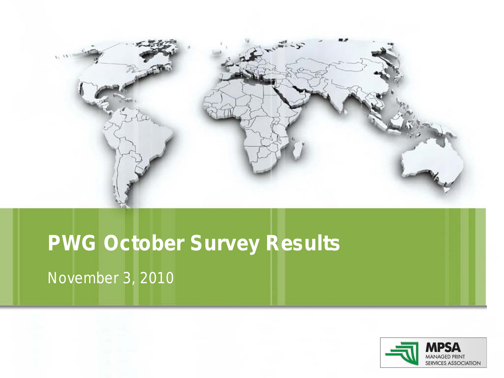

# **PWG October Survey Results**

November 3, 2010

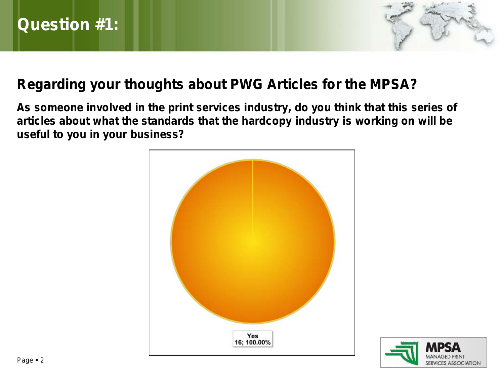

#### **Regarding your thoughts about PWG Articles for the MPSA?**

**As someone involved in the print services industry, do you think that this series of articles about what the standards that the hardcopy industry is working on will be useful to you in your business?**



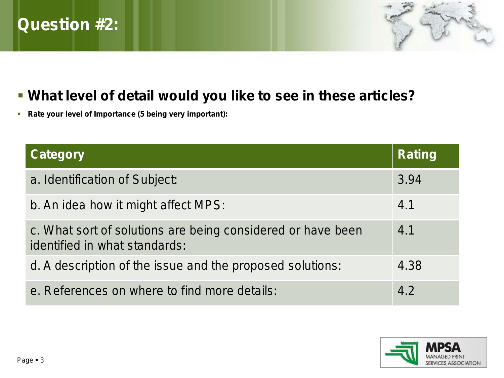# **Question #2:**



#### **What level of detail would you like to see in these articles?**

**Rate your level of Importance (5 being very important):**

| <b>Category</b>                                                                              | <b>Rating</b> |
|----------------------------------------------------------------------------------------------|---------------|
| a. Identification of Subject:                                                                | 3.94          |
| b. An idea how it might affect MPS:                                                          | 4.1           |
| c. What sort of solutions are being considered or have been<br>identified in what standards: | 4.1           |
| d. A description of the issue and the proposed solutions:                                    | 4.38          |
| e. References on where to find more details:                                                 | 4.2           |

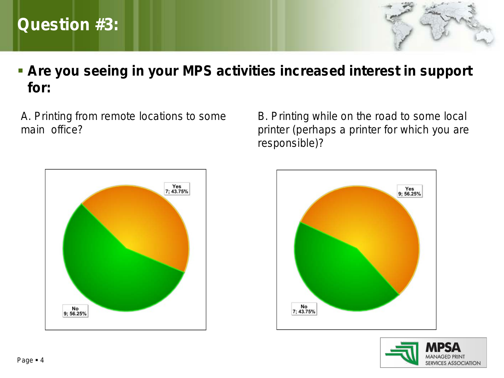# **Question #3:**



### **Are you seeing in your MPS activities increased interest in support for:**

A. Printing from remote locations to some main office?

B. Printing while on the road to some local printer (perhaps a printer for which you are responsible)?





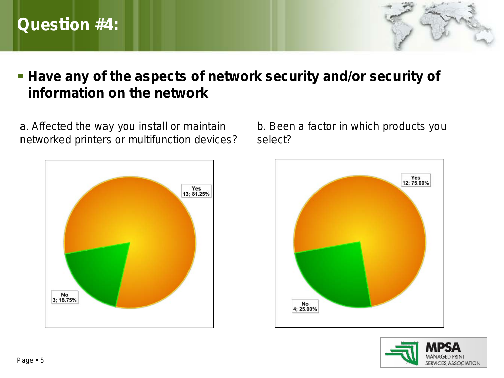## **Question #4:**



#### **Have any of the aspects of network security and/or security of information on the network**

a. Affected the way you install or maintain networked printers or multifunction devices?



b. Been a factor in which products you select?



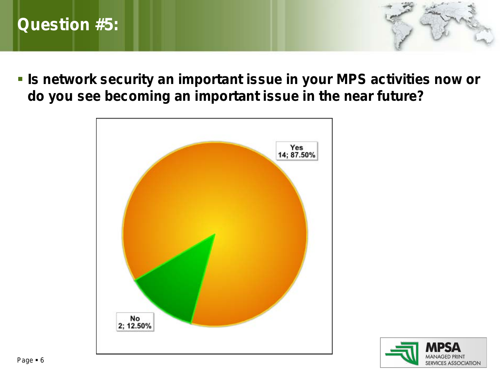## **Question #5:**

**IS network security an important issue in your MPS activities now or do you see becoming an important issue in the near future?**



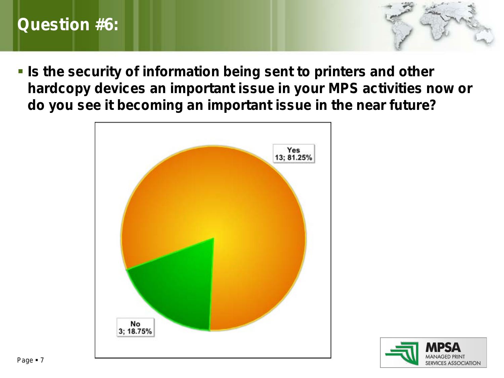## **Question #6:**

**Is the security of information being sent to printers and other hardcopy devices an important issue in your MPS activities now or do you see it becoming an important issue in the near future?**



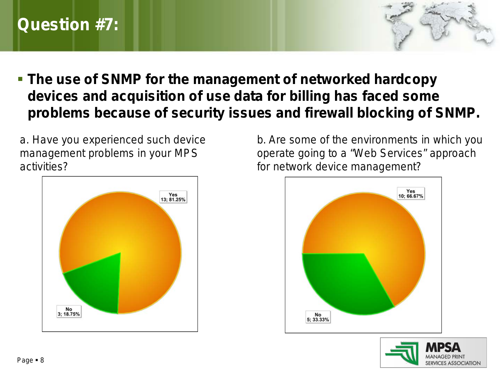## **Question #7:**



 **The use of SNMP for the management of networked hardcopy devices and acquisition of use data for billing has faced some problems because of security issues and firewall blocking of SNMP.**

a. Have you experienced such device management problems in your MPS activities?



b. Are some of the environments in which you operate going to a "Web Services" approach for network device management?



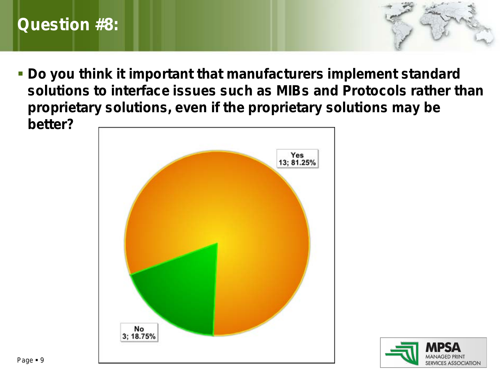## **Question #8:**

 **Do you think it important that manufacturers implement standard solutions to interface issues such as MIBs and Protocols rather than proprietary solutions, even if the proprietary solutions may be better?**



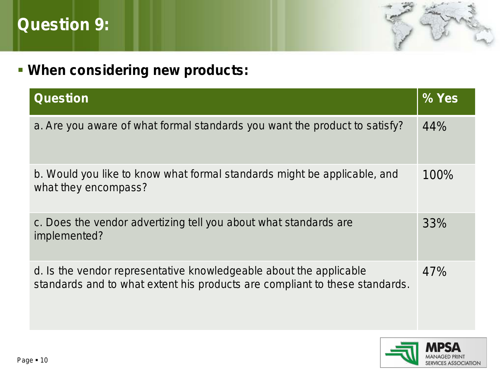



# **When considering new products:**

| <b>Question</b>                                                                                                                                   | % Yes |
|---------------------------------------------------------------------------------------------------------------------------------------------------|-------|
| a. Are you aware of what formal standards you want the product to satisfy?                                                                        | 44%   |
| b. Would you like to know what formal standards might be applicable, and<br>what they encompass?                                                  | 100%  |
| c. Does the vendor advertizing tell you about what standards are<br>implemented?                                                                  | 33%   |
| d. Is the vendor representative knowledgeable about the applicable<br>standards and to what extent his products are compliant to these standards. | 47%   |